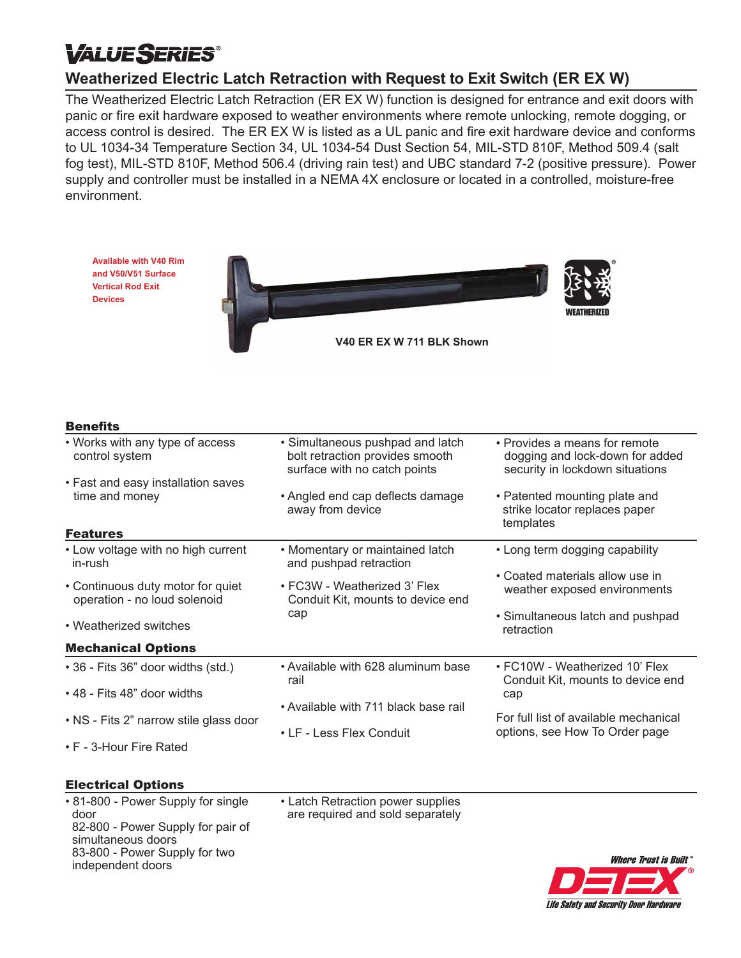# *VALUESERIES*

## **Weatherized Electric Latch Retraction with Request to Exit Switch (ER EX W)**

The Weatherized Electric Latch Retraction (ER EX W) function is designed for entrance and exit doors with panic or fire exit hardware exposed to weather environments where remote unlocking, remote dogging, or access control is desired. The ER EX W is listed as a UL panic and fire exit hardware device and conforms to UL 1034-34 Temperature Section 34, UL 1034-54 Dust Section 54, MIL-STD 810F, Method 509.4 (salt fog test), MIL-STD 810F, Method 506.4 (driving rain test) and UBC standard 7-2 (positive pressure). Power supply and controller must be installed in a NEMA 4X enclosure or located in a controlled, moisture-free environment.



#### Electrical Options

• 81-800 - Power Supply for single door 82-800 - Power Supply for pair of simultaneous doors 83-800 - Power Supply for two independent doors

• Latch Retraction power supplies are required and sold separately